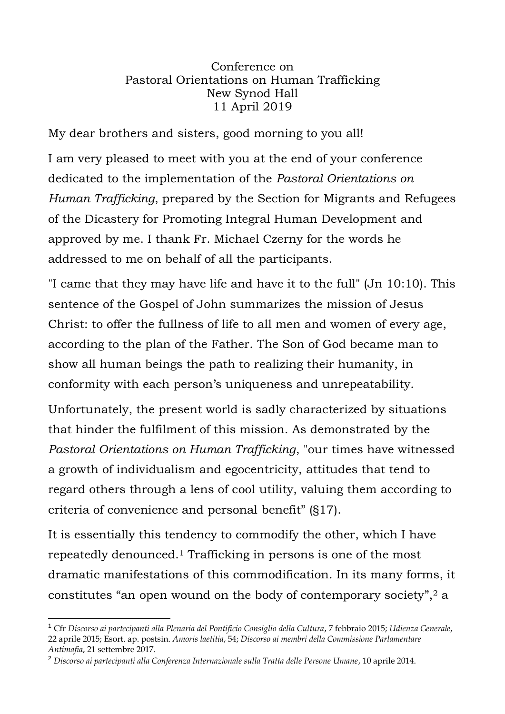## Conference on Pastoral Orientations on Human Trafficking New Synod Hall 11 April 2019

My dear brothers and sisters, good morning to you all!

I am very pleased to meet with you at the end of your conference dedicated to the implementation of the *Pastoral Orientations on Human Trafficking*, prepared by the Section for Migrants and Refugees of the Dicastery for Promoting Integral Human Development and approved by me. I thank Fr. Michael Czerny for the words he addressed to me on behalf of all the participants.

"I came that they may have life and have it to the full" (Jn 10:10). This sentence of the Gospel of John summarizes the mission of Jesus Christ: to offer the fullness of life to all men and women of every age, according to the plan of the Father. The Son of God became man to show all human beings the path to realizing their humanity, in conformity with each person's uniqueness and unrepeatability.

Unfortunately, the present world is sadly characterized by situations that hinder the fulfilment of this mission. As demonstrated by the *Pastoral Orientations on Human Trafficking*, "our times have witnessed a growth of individualism and egocentricity, attitudes that tend to regard others through a lens of cool utility, valuing them according to criteria of convenience and personal benefit" (§17).

It is essentially this tendency to commodify the other, which I have repeatedly denounced.<sup>1</sup> Trafficking in persons is one of the most dramatic manifestations of this commodification. In its many forms, it constitutes "an open wound on the body of contemporary society",<sup>2</sup> a

 $\overline{a}$ 

<sup>1</sup> Cfr *Discorso ai partecipanti alla Plenaria del Pontificio Consiglio della Cultura*, 7 febbraio 2015; *Udienza Generale*, 22 aprile 2015; Esort. ap. postsin. *Amoris laetitia*, 54; *Discorso ai membri della Commissione Parlamentare Antimafia*, 21 settembre 2017.

<sup>2</sup> *Discorso ai partecipanti alla Conferenza Internazionale sulla Tratta delle Persone Umane*, 10 aprile 2014.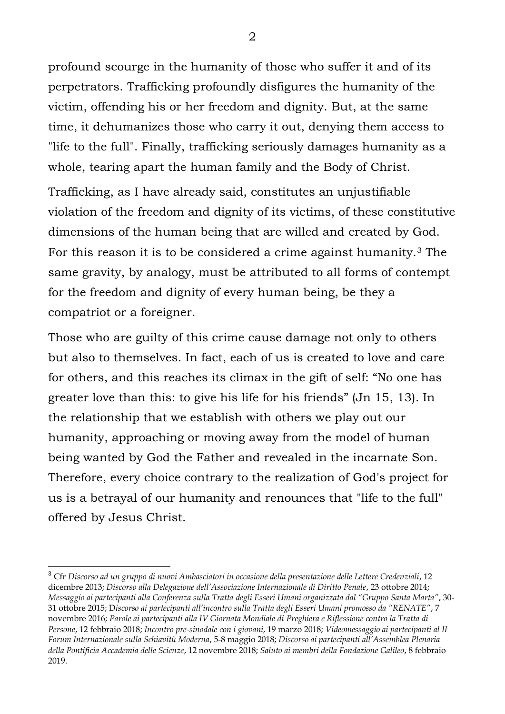profound scourge in the humanity of those who suffer it and of its perpetrators. Trafficking profoundly disfigures the humanity of the victim, offending his or her freedom and dignity. But, at the same time, it dehumanizes those who carry it out, denying them access to "life to the full". Finally, trafficking seriously damages humanity as a whole, tearing apart the human family and the Body of Christ.

Trafficking, as I have already said, constitutes an unjustifiable violation of the freedom and dignity of its victims, of these constitutive dimensions of the human being that are willed and created by God. For this reason it is to be considered a crime against humanity.<sup>3</sup> The same gravity, by analogy, must be attributed to all forms of contempt for the freedom and dignity of every human being, be they a compatriot or a foreigner.

Those who are guilty of this crime cause damage not only to others but also to themselves. In fact, each of us is created to love and care for others, and this reaches its climax in the gift of self: "No one has greater love than this: to give his life for his friends" (Jn 15, 13). In the relationship that we establish with others we play out our humanity, approaching or moving away from the model of human being wanted by God the Father and revealed in the incarnate Son. Therefore, every choice contrary to the realization of God's project for us is a betrayal of our humanity and renounces that "life to the full" offered by Jesus Christ.

2

<sup>3</sup> Cfr *Discorso ad un gruppo di nuovi Ambasciatori in occasione della presentazione delle Lettere Credenziali*, 12 dicembre 2013; *Discorso alla Delegazione dell'Associazione Internazionale di Diritto Penale*, 23 ottobre 2014; *Messaggio ai partecipanti alla Conferenza sulla Tratta degli Esseri Umani organizzata dal "Gruppo Santa Marta"*, 30- 31 ottobre 2015; D*iscorso ai partecipanti all'incontro sulla Tratta degli Esseri Umani promosso da "RENATE"*, 7 novembre 2016; *Parole ai partecipanti alla IV Giornata Mondiale di Preghiera e Riflessione contro la Tratta di Persone*, 12 febbraio 2018; *Incontro pre-sinodale con i giovani*, 19 marzo 2018; *Videomessaggio ai partecipanti al II Forum Internazionale sulla Schiavitù Moderna*, 5-8 maggio 2018; *Discorso ai partecipanti all'Assemblea Plenaria della Pontificia Accademia delle Scienze*, 12 novembre 2018; *Saluto ai membri della Fondazione Galileo*, 8 febbraio 2019.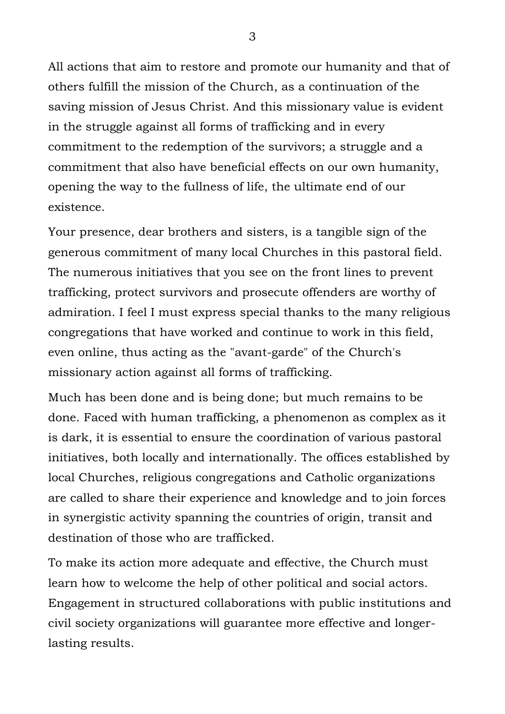All actions that aim to restore and promote our humanity and that of others fulfill the mission of the Church, as a continuation of the saving mission of Jesus Christ. And this missionary value is evident in the struggle against all forms of trafficking and in every commitment to the redemption of the survivors; a struggle and a commitment that also have beneficial effects on our own humanity, opening the way to the fullness of life, the ultimate end of our existence.

Your presence, dear brothers and sisters, is a tangible sign of the generous commitment of many local Churches in this pastoral field. The numerous initiatives that you see on the front lines to prevent trafficking, protect survivors and prosecute offenders are worthy of admiration. I feel I must express special thanks to the many religious congregations that have worked and continue to work in this field, even online, thus acting as the "avant-garde" of the Church's missionary action against all forms of trafficking.

Much has been done and is being done; but much remains to be done. Faced with human trafficking, a phenomenon as complex as it is dark, it is essential to ensure the coordination of various pastoral initiatives, both locally and internationally. The offices established by local Churches, religious congregations and Catholic organizations are called to share their experience and knowledge and to join forces in synergistic activity spanning the countries of origin, transit and destination of those who are trafficked.

To make its action more adequate and effective, the Church must learn how to welcome the help of other political and social actors. Engagement in structured collaborations with public institutions and civil society organizations will guarantee more effective and longerlasting results.

3